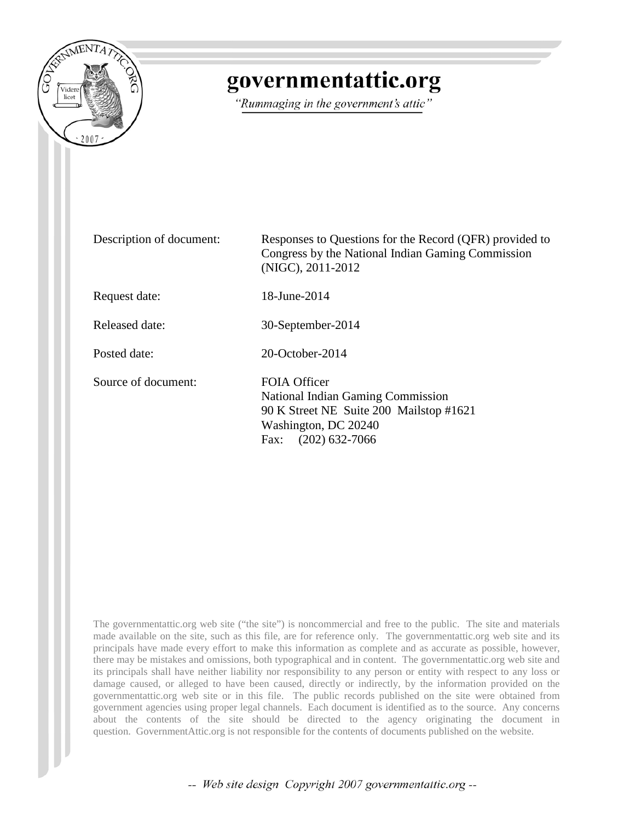

## governmentattic.org

"Rummaging in the government's attic"

Description of document: Responses to Questions for the Record (QFR) provided to Congress by the National Indian Gaming Commission (NIGC), 2011-2012 Request date: 18-June-2014 Released date: 30-September-2014 Posted date: 20-October-2014 Source of document: FOIA Officer National Indian Gaming Commission 90 K Street NE Suite 200 Mailstop #1621 Washington, DC 20240 Fax: (202) 632-7066

The governmentattic.org web site ("the site") is noncommercial and free to the public. The site and materials made available on the site, such as this file, are for reference only. The governmentattic.org web site and its principals have made every effort to make this information as complete and as accurate as possible, however, there may be mistakes and omissions, both typographical and in content. The governmentattic.org web site and its principals shall have neither liability nor responsibility to any person or entity with respect to any loss or damage caused, or alleged to have been caused, directly or indirectly, by the information provided on the governmentattic.org web site or in this file. The public records published on the site were obtained from government agencies using proper legal channels. Each document is identified as to the source. Any concerns about the contents of the site should be directed to the agency originating the document in question. GovernmentAttic.org is not responsible for the contents of documents published on the website.

-- Web site design Copyright 2007 governmentattic.org --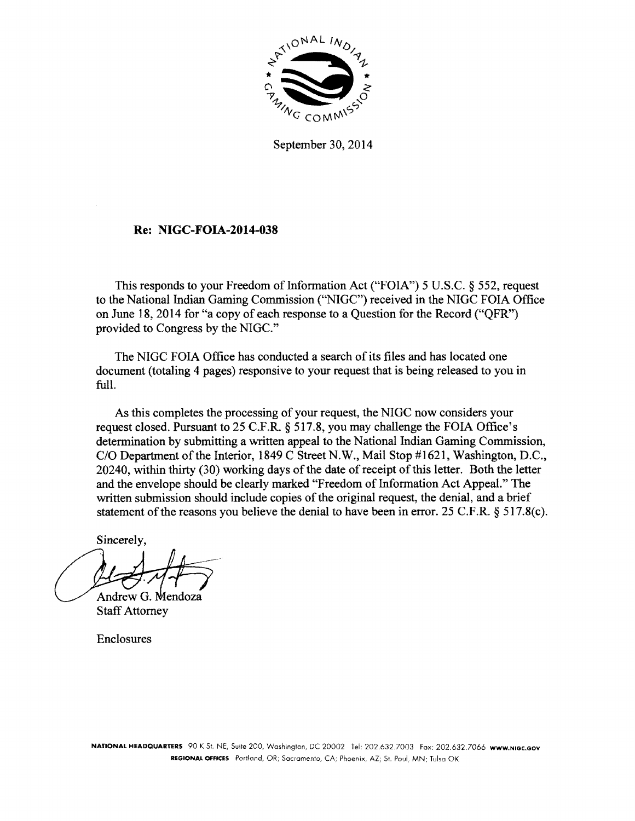

September 30, 2014

## Re: **NIGC-FOIA-2014-038**

This responds to your Freedom of Information Act ("FOIA") 5 U.S.C.  $\S$  552, request to the National Indian Gaming Commission ("NIGC") received in the NIGC FOIA Office on June 18, 2014 for "a copy of each response to a Question for the Record ("QFR") provided to Congress by the NIGC."

The NIGC FOIA Office has conducted a search of its files and has located one document (totaling 4 pages) responsive to your request that is being released to you in full.

As this completes the processing of your request, the NIGC now considers your request closed. Pursuant to 25 C.F.R. § 517.8, you may challenge the FOIA Office's determination by submitting a written appeal to the National Indian Gaming Commission, C/O Department of the Interior, 1849 C Street N.W., Mail Stop #1621, Washington, D.C., 20240, within thirty (30) working days of the date of receipt of this letter. Both the letter and the envelope should be clearly marked "Freedom of Information Act Appeal." The written submission should include copies of the original request, the denial, and a brief statement of the reasons you believe the denial to have been in error. 25 C.F.R. § 517.8(c).

Sincerely,

Andrew G. Mendoza

Staff Attorney

Enclosures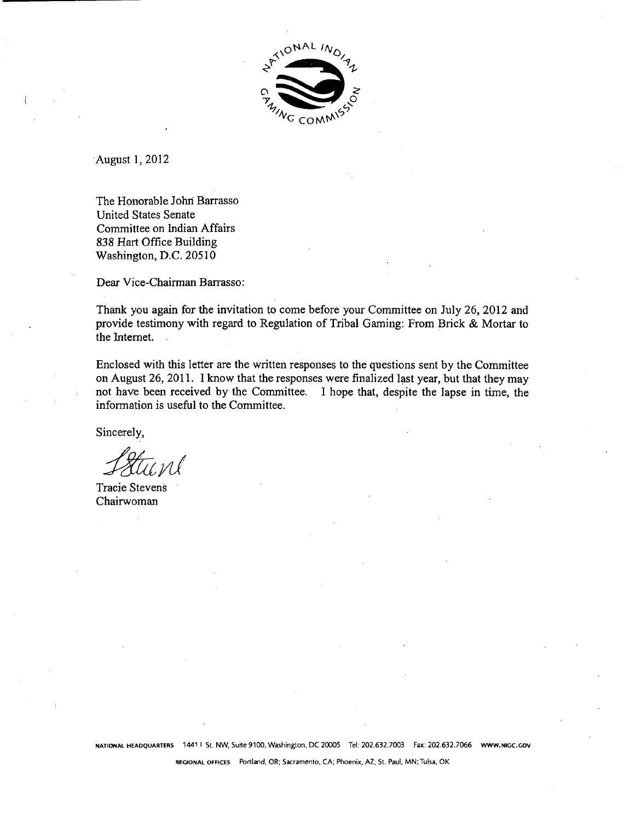

·August 1, 2012

The Honorable Johri Barrasso United States Senate Committee on Indian Affairs 838 Hart Office Building Washington, D.C. 20510

Dear Vice-Chairman Barrasso:

Thank you again for the invitation to come before your Committee on July 26, 2012 and provide testimony with regard to Regulation of Tribal Gaming: From Brick & Mortar to the Internet.

Enclosed with this letter are the written responses to the questions sent by the Committee on August 26, 2011. I know that the responses were finalized last year, but that they may not have been received by the Committee. I hope that, despite the lapse in time, the information is useful to the Committee.

Sincerely,

Tracie Stevens Chairwoman

REGIONAL OFFICES Portland, OR; Sacramento, CA; Phoenix, AZ; St. Paul, MN; Tulsa, OK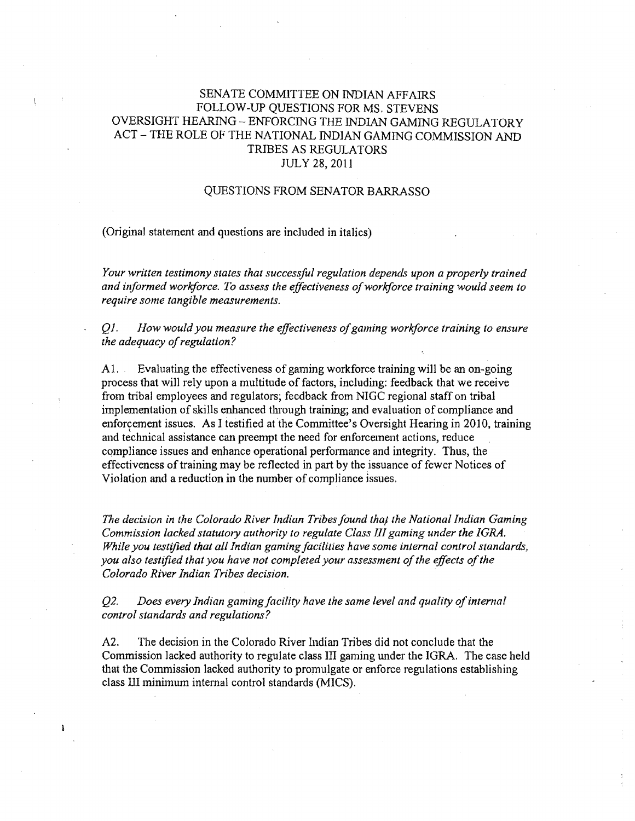## SENATE COMMITTEE ON INDIAN AFFAIRS FOLLOW-UP QUESTIONS FOR MS. STEVENS OVERSIGHT HEARING - ENFORCING THE INDIAN GAMING REGULATORY ACT - THE ROLE OF THE NATIONAL INDIAN GAMING COMMISSION AND TRIBES AS REGULATORS JULY 28, 2011

## QUESTIONS FROM SENATOR BARRASSO

(Original statement and questions are included in italics)

*Your written testimony states that successful regulation depends upon a properly trained and informed workforce. To assess the effectiveness of workforce training would seem to require some tangible measurements.* 

Q *1. How would you measure the effectiveness of gaming workforce training to ensure the adequacy of regulation?* 

A 1. Evaluating the effectiveness of gaming workforce training will be an on-going process that will rely upon a multitude of factors, including: feedback that we receive from tribal employees and regulators; feedback from NIGC regional staff on tribal implementation of skills enhanced through training; and evaluation of compliance and enforcement issues. As I testified at the Committee's Oversight Hearing in 2010, training and technical assistance can preempt the need for enforcement actions, reduce compliance issues and enhance operational performance and integrity. Thus, the effectiveness of training may be reflected in part by the issuance of fewer Notices of Violation and a reduction in the number of compliance issues.

The decision in the Colorado River Indian Tribes found that the National Indian Gaming *Commission lacked statutory authority to regulate Class III gaming under the IGRA. While you testified that all Indian gaming facilities have some internal control standards, you also testified that you have not completed your assessment of the effects of the Colorado River Indian Tribes decision.* 

*Q2. Does every Indian gaming facility have the same level and quality of internal control standards and regulations?* 

A2. The decision in the Colorado River Indian Tribes did not conclude that the Commission lacked authority to regulate class III gaming under the IGRA. The case held that the Commission lacked authority to promulgate or enforce regulations establishing class III minimum internal control standards (MICS).

ĵ,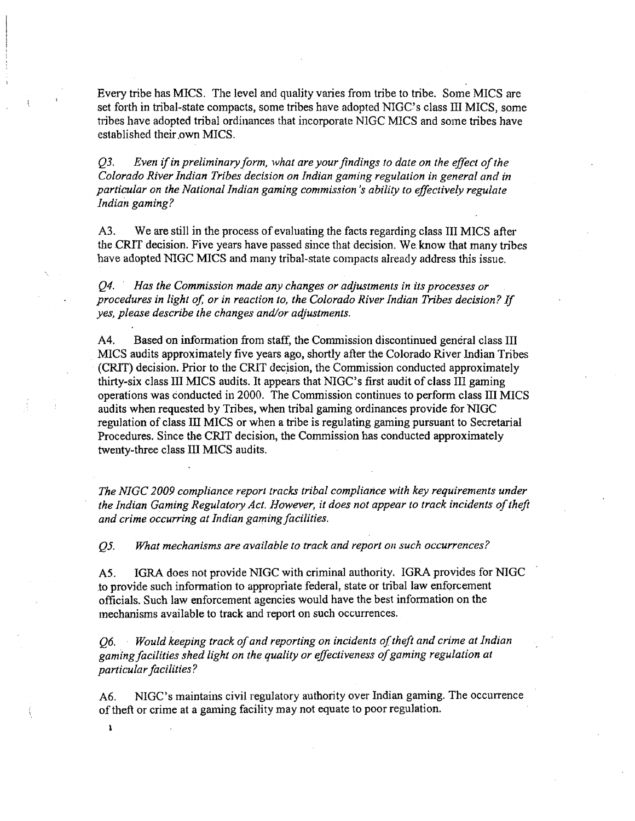Every tribe has MICS. The level and quality varies from tribe to tribe. Some MICS are set forth in tribal-state compacts, some tribes have adopted NIGC's class III MICS, some tribes have adopted tribal ordinances that incorporate NIGC MICS and some tribes have established their .own MICS.

*Q3. Even if in preliminary form, what are your findings to date on the effect of the Colorado River Indian Tribes decision on Indian gaming regulation in general and in particular on the National Indian gaming commission's ability to effectively regulate Indian gaming?* 

A3. We are still in the process of evaluating the facts regarding class III MICS after the CRIT decision. Five years have passed since that decision. We.know that many tribes have adopted NIGC MICS and many tribal-state compacts already address this issue.

*Q4. Has the Commission made any changes or adjustments in its processes or procedures in light of, or in reaction to, the Colorado River Indian Tribes decision?* If *yes, please describe the changes and/or adjustments.* 

A4. Based on information from staff, the Commission discontinued general class III MICS audits approximately five years ago, shortly after the Colorado River Indian Tribes (CRIT) decision. Prior to the CRIT decision, the Commission conducted approximately thirty-six class III MICS audits. It appears that NIGC's first audit of class III gaming operations was conducted in 2000. The Commission continues to perform class III MICS audits when requested by Tribes, when tribal gaming ordinances provide for NIGC regulation of class Ill MICS or when a tribe is regulating gaming pursuant to Secretarial Procedures. Since the CRIT decision, the Commission has conducted approximately twenty-three class III MICS audits.

*The NIGC 2009 compliance report tracks tribal compliance with key requirements under the Indian Gaming Regulatory Act. However, it does not appear to track incidents of theft and crime occurring at Indian gaming facilities.* 

*Q5. What mechanisms are available to track and report on such occurrences?* 

*A5.* IGRA does not provide NIGC with criminal authority. IGRA provides for NIGC .to provide such information to appropriate federal, state or tribal law enforcement officials. Such law enforcement agencies would have the best information on the mechanisms available to track and report on such occurrences.

*Q6. Would keeping track of and reporting on incidents of theft and crime at Indian gaming facilities shed light on the quality or effectiveness of gaming regulation at particular facilities?* 

A6. NIGC's maintains civil regulatory authority over Indian gaming. The occurrence of theft or crime at a gaming facility may not equate to poor regulation.

 $\mathbf{S}$